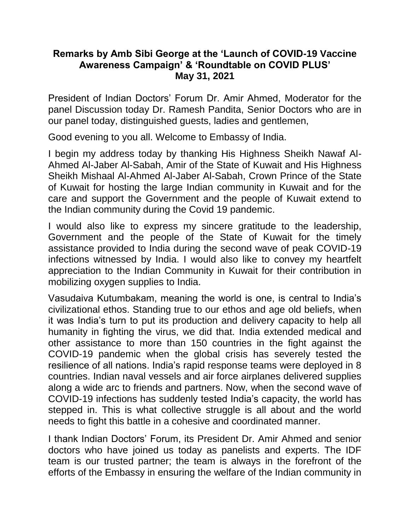## **Remarks by Amb Sibi George at the 'Launch of COVID-19 Vaccine Awareness Campaign' & 'Roundtable on COVID PLUS' May 31, 2021**

President of Indian Doctors' Forum Dr. Amir Ahmed, Moderator for the panel Discussion today Dr. Ramesh Pandita, Senior Doctors who are in our panel today, distinguished guests, ladies and gentlemen,

Good evening to you all. Welcome to Embassy of India.

I begin my address today by thanking His Highness Sheikh Nawaf Al-Ahmed Al-Jaber Al-Sabah, Amir of the State of Kuwait and His Highness Sheikh Mishaal Al-Ahmed Al-Jaber Al-Sabah, Crown Prince of the State of Kuwait for hosting the large Indian community in Kuwait and for the care and support the Government and the people of Kuwait extend to the Indian community during the Covid 19 pandemic.

I would also like to express my sincere gratitude to the leadership, Government and the people of the State of Kuwait for the timely assistance provided to India during the second wave of peak COVID-19 infections witnessed by India. I would also like to convey my heartfelt appreciation to the Indian Community in Kuwait for their contribution in mobilizing oxygen supplies to India.

Vasudaiva Kutumbakam, meaning the world is one, is central to India's civilizational ethos. Standing true to our ethos and age old beliefs, when it was India's turn to put its production and delivery capacity to help all humanity in fighting the virus, we did that. India extended medical and other assistance to more than 150 countries in the fight against the COVID-19 pandemic when the global crisis has severely tested the resilience of all nations. India's rapid response teams were deployed in 8 countries. Indian naval vessels and air force airplanes delivered supplies along a wide arc to friends and partners. Now, when the second wave of COVID-19 infections has suddenly tested India's capacity, the world has stepped in. This is what collective struggle is all about and the world needs to fight this battle in a cohesive and coordinated manner.

I thank Indian Doctors' Forum, its President Dr. Amir Ahmed and senior doctors who have joined us today as panelists and experts. The IDF team is our trusted partner; the team is always in the forefront of the efforts of the Embassy in ensuring the welfare of the Indian community in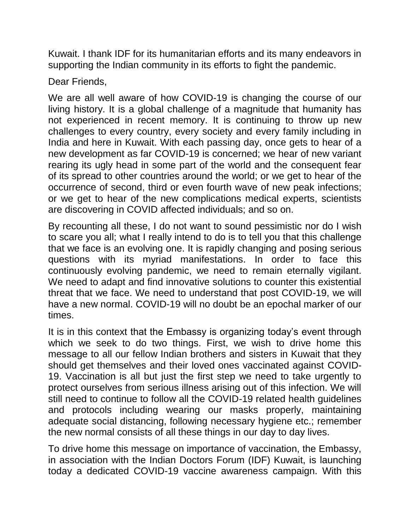Kuwait. I thank IDF for its humanitarian efforts and its many endeavors in supporting the Indian community in its efforts to fight the pandemic.

Dear Friends,

We are all well aware of how COVID-19 is changing the course of our living history. It is a global challenge of a magnitude that humanity has not experienced in recent memory. It is continuing to throw up new challenges to every country, every society and every family including in India and here in Kuwait. With each passing day, once gets to hear of a new development as far COVID-19 is concerned; we hear of new variant rearing its ugly head in some part of the world and the consequent fear of its spread to other countries around the world; or we get to hear of the occurrence of second, third or even fourth wave of new peak infections; or we get to hear of the new complications medical experts, scientists are discovering in COVID affected individuals; and so on.

By recounting all these, I do not want to sound pessimistic nor do I wish to scare you all; what I really intend to do is to tell you that this challenge that we face is an evolving one. It is rapidly changing and posing serious questions with its myriad manifestations. In order to face this continuously evolving pandemic, we need to remain eternally vigilant. We need to adapt and find innovative solutions to counter this existential threat that we face. We need to understand that post COVID-19, we will have a new normal. COVID-19 will no doubt be an epochal marker of our times.

It is in this context that the Embassy is organizing today's event through which we seek to do two things. First, we wish to drive home this message to all our fellow Indian brothers and sisters in Kuwait that they should get themselves and their loved ones vaccinated against COVID-19. Vaccination is all but just the first step we need to take urgently to protect ourselves from serious illness arising out of this infection. We will still need to continue to follow all the COVID-19 related health guidelines and protocols including wearing our masks properly, maintaining adequate social distancing, following necessary hygiene etc.; remember the new normal consists of all these things in our day to day lives.

To drive home this message on importance of vaccination, the Embassy, in association with the Indian Doctors Forum (IDF) Kuwait, is launching today a dedicated COVID-19 vaccine awareness campaign. With this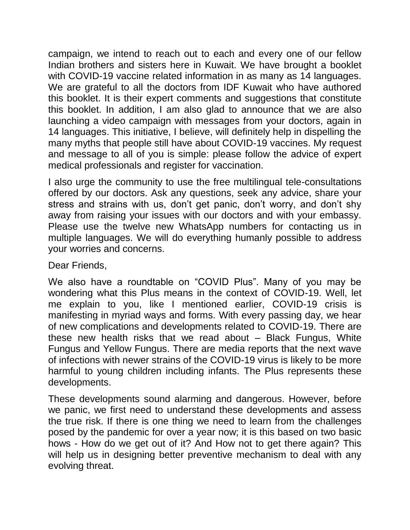campaign, we intend to reach out to each and every one of our fellow Indian brothers and sisters here in Kuwait. We have brought a booklet with COVID-19 vaccine related information in as many as 14 languages. We are grateful to all the doctors from IDF Kuwait who have authored this booklet. It is their expert comments and suggestions that constitute this booklet. In addition, I am also glad to announce that we are also launching a video campaign with messages from your doctors, again in 14 languages. This initiative, I believe, will definitely help in dispelling the many myths that people still have about COVID-19 vaccines. My request and message to all of you is simple: please follow the advice of expert medical professionals and register for vaccination.

I also urge the community to use the free multilingual tele-consultations offered by our doctors. Ask any questions, seek any advice, share your stress and strains with us, don't get panic, don't worry, and don't shy away from raising your issues with our doctors and with your embassy. Please use the twelve new WhatsApp numbers for contacting us in multiple languages. We will do everything humanly possible to address your worries and concerns.

Dear Friends,

We also have a roundtable on "COVID Plus". Many of you may be wondering what this Plus means in the context of COVID-19. Well, let me explain to you, like I mentioned earlier, COVID-19 crisis is manifesting in myriad ways and forms. With every passing day, we hear of new complications and developments related to COVID-19. There are these new health risks that we read about – Black Fungus, White Fungus and Yellow Fungus. There are media reports that the next wave of infections with newer strains of the COVID-19 virus is likely to be more harmful to young children including infants. The Plus represents these developments.

These developments sound alarming and dangerous. However, before we panic, we first need to understand these developments and assess the true risk. If there is one thing we need to learn from the challenges posed by the pandemic for over a year now; it is this based on two basic hows - How do we get out of it? And How not to get there again? This will help us in designing better preventive mechanism to deal with any evolving threat.